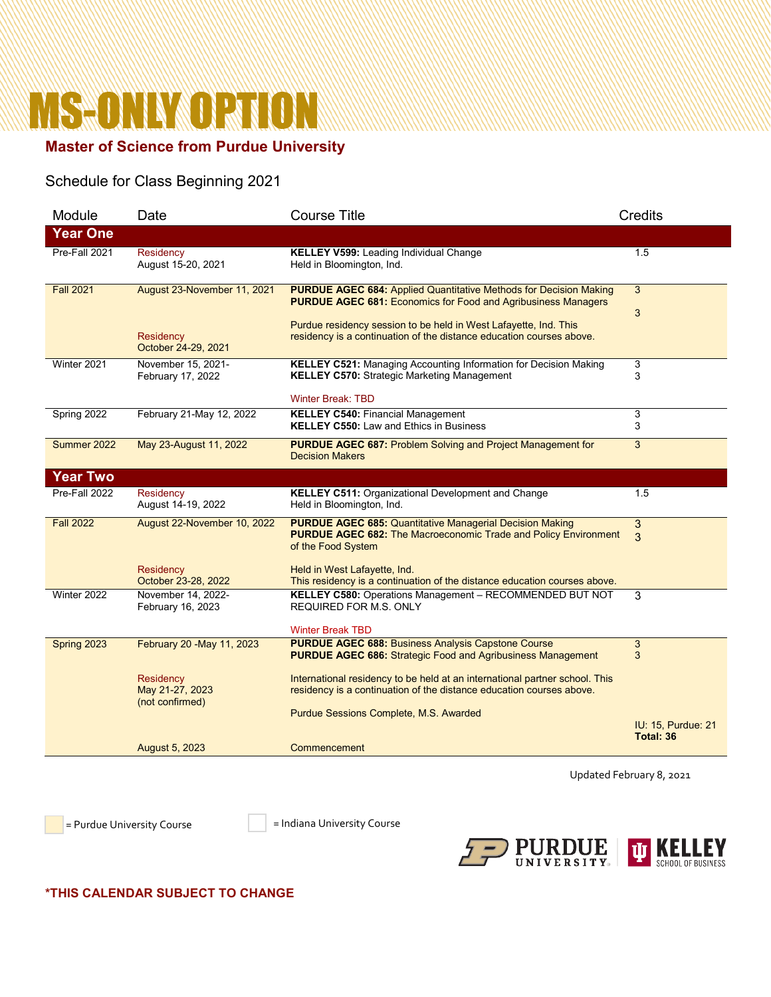# **MS-ONLY OPTION**

# **Master of Science from Purdue University**

## Schedule for Class Beginning 2021

| Module           | Date                                                           | <b>Course Title</b>                                                                                                                                                                                                                                                                          | <b>Credits</b>                         |
|------------------|----------------------------------------------------------------|----------------------------------------------------------------------------------------------------------------------------------------------------------------------------------------------------------------------------------------------------------------------------------------------|----------------------------------------|
| <b>Year One</b>  |                                                                |                                                                                                                                                                                                                                                                                              |                                        |
| Pre-Fall 2021    | Residency<br>August 15-20, 2021                                | <b>KELLEY V599: Leading Individual Change</b><br>Held in Bloomington, Ind.                                                                                                                                                                                                                   | 1.5                                    |
| <b>Fall 2021</b> | August 23-November 11, 2021<br>Residency                       | <b>PURDUE AGEC 684: Applied Quantitative Methods for Decision Making</b><br><b>PURDUE AGEC 681: Economics for Food and Agribusiness Managers</b><br>Purdue residency session to be held in West Lafayette, Ind. This<br>residency is a continuation of the distance education courses above. | 3<br>3                                 |
| Winter 2021      | October 24-29, 2021<br>November 15, 2021-<br>February 17, 2022 | <b>KELLEY C521: Managing Accounting Information for Decision Making</b><br><b>KELLEY C570: Strategic Marketing Management</b>                                                                                                                                                                | 3<br>3                                 |
| Spring 2022      | February 21-May 12, 2022                                       | <b>Winter Break: TBD</b><br><b>KELLEY C540: Financial Management</b><br><b>KELLEY C550: Law and Ethics in Business</b>                                                                                                                                                                       | 3<br>3                                 |
| Summer 2022      | May 23-August 11, 2022                                         | <b>PURDUE AGEC 687: Problem Solving and Project Management for</b><br><b>Decision Makers</b>                                                                                                                                                                                                 | 3                                      |
| <b>Year Two</b>  |                                                                |                                                                                                                                                                                                                                                                                              |                                        |
| Pre-Fall 2022    | Residency<br>August 14-19, 2022                                | <b>KELLEY C511: Organizational Development and Change</b><br>Held in Bloomington, Ind.                                                                                                                                                                                                       | 1.5                                    |
| <b>Fall 2022</b> | August 22-November 10, 2022                                    | <b>PURDUE AGEC 685: Quantitative Managerial Decision Making</b><br><b>PURDUE AGEC 682: The Macroeconomic Trade and Policy Environment</b><br>of the Food System                                                                                                                              | 3<br>3                                 |
|                  | Residency<br>October 23-28, 2022                               | Held in West Lafayette, Ind.<br>This residency is a continuation of the distance education courses above.                                                                                                                                                                                    |                                        |
| Winter 2022      | November 14, 2022-<br>February 16, 2023                        | KELLEY C580: Operations Management - RECOMMENDED BUT NOT<br><b>REQUIRED FOR M.S. ONLY</b><br><b>Winter Break TBD</b>                                                                                                                                                                         | 3                                      |
| Spring 2023      | February 20 - May 11, 2023                                     | <b>PURDUE AGEC 688: Business Analysis Capstone Course</b><br><b>PURDUE AGEC 686: Strategic Food and Agribusiness Management</b>                                                                                                                                                              | 3<br>3                                 |
|                  | Residency<br>May 21-27, 2023<br>(not confirmed)                | International residency to be held at an international partner school. This<br>residency is a continuation of the distance education courses above.                                                                                                                                          |                                        |
|                  |                                                                | Purdue Sessions Complete, M.S. Awarded                                                                                                                                                                                                                                                       | <b>IU: 15, Purdue: 21</b><br>Total: 36 |
|                  | August 5, 2023                                                 | Commencement                                                                                                                                                                                                                                                                                 |                                        |

Updated February 8, 2021

= Purdue University Course = Indiana University Course



#### **\*THIS CALENDAR SUBJECT TO CHANGE**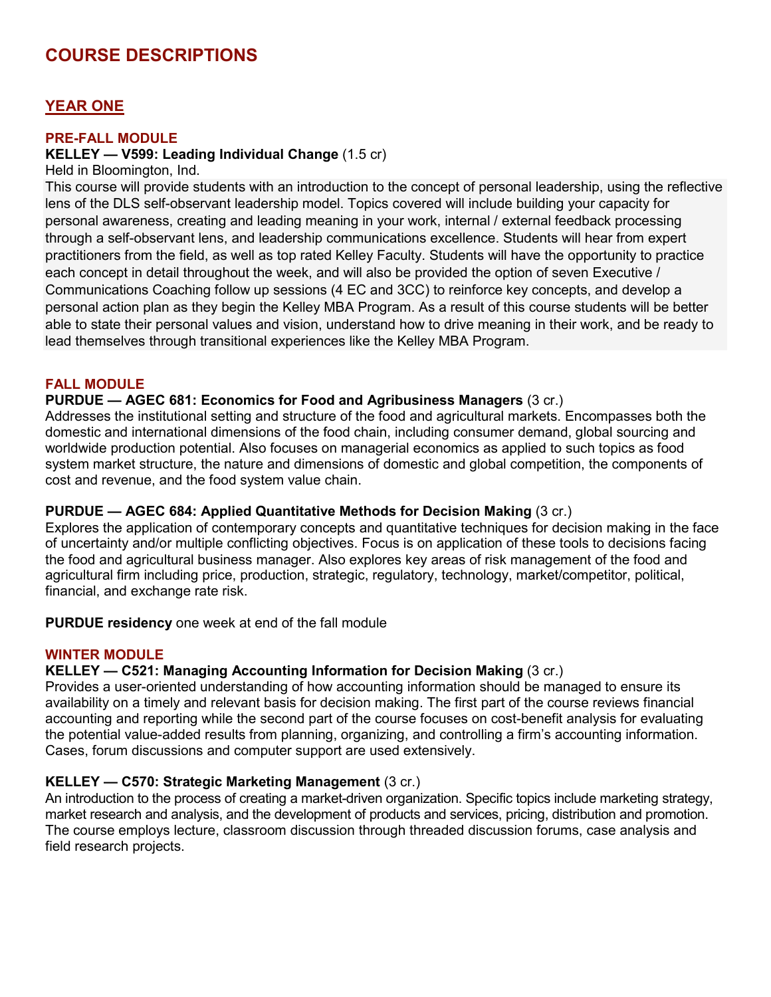# **COURSE DESCRIPTIONS**

## **YEAR ONE**

#### **PRE-FALL MODULE**

#### **KELLEY — V599: Leading Individual Change** (1.5 cr)

Held in Bloomington, Ind.

This course will provide students with an introduction to the concept of personal leadership, using the reflective lens of the DLS self-observant leadership model. Topics covered will include building your capacity for personal awareness, creating and leading meaning in your work, internal / external feedback processing through a self-observant lens, and leadership communications excellence. Students will hear from expert practitioners from the field, as well as top rated Kelley Faculty. Students will have the opportunity to practice each concept in detail throughout the week, and will also be provided the option of seven Executive / Communications Coaching follow up sessions (4 EC and 3CC) to reinforce key concepts, and develop a personal action plan as they begin the Kelley MBA Program. As a result of this course students will be better able to state their personal values and vision, understand how to drive meaning in their work, and be ready to lead themselves through transitional experiences like the Kelley MBA Program.

#### **FALL MODULE**

#### **PURDUE — AGEC 681: Economics for Food and Agribusiness Managers** (3 cr.)

Addresses the institutional setting and structure of the food and agricultural markets. Encompasses both the domestic and international dimensions of the food chain, including consumer demand, global sourcing and worldwide production potential. Also focuses on managerial economics as applied to such topics as food system market structure, the nature and dimensions of domestic and global competition, the components of cost and revenue, and the food system value chain.

#### **PURDUE — AGEC 684: Applied Quantitative Methods for Decision Making** (3 cr.)

Explores the application of contemporary concepts and quantitative techniques for decision making in the face of uncertainty and/or multiple conflicting objectives. Focus is on application of these tools to decisions facing the food and agricultural business manager. Also explores key areas of risk management of the food and agricultural firm including price, production, strategic, regulatory, technology, market/competitor, political, financial, and exchange rate risk.

**PURDUE residency** one week at end of the fall module

#### **WINTER MODULE**

#### **KELLEY — C521: Managing Accounting Information for Decision Making** (3 cr.)

Provides a user-oriented understanding of how accounting information should be managed to ensure its availability on a timely and relevant basis for decision making. The first part of the course reviews financial accounting and reporting while the second part of the course focuses on cost-benefit analysis for evaluating the potential value-added results from planning, organizing, and controlling a firm's accounting information. Cases, forum discussions and computer support are used extensively.

#### **KELLEY — C570: Strategic Marketing Management** (3 cr.)

An introduction to the process of creating a market-driven organization. Specific topics include marketing strategy, market research and analysis, and the development of products and services, pricing, distribution and promotion. The course employs lecture, classroom discussion through threaded discussion forums, case analysis and field research projects.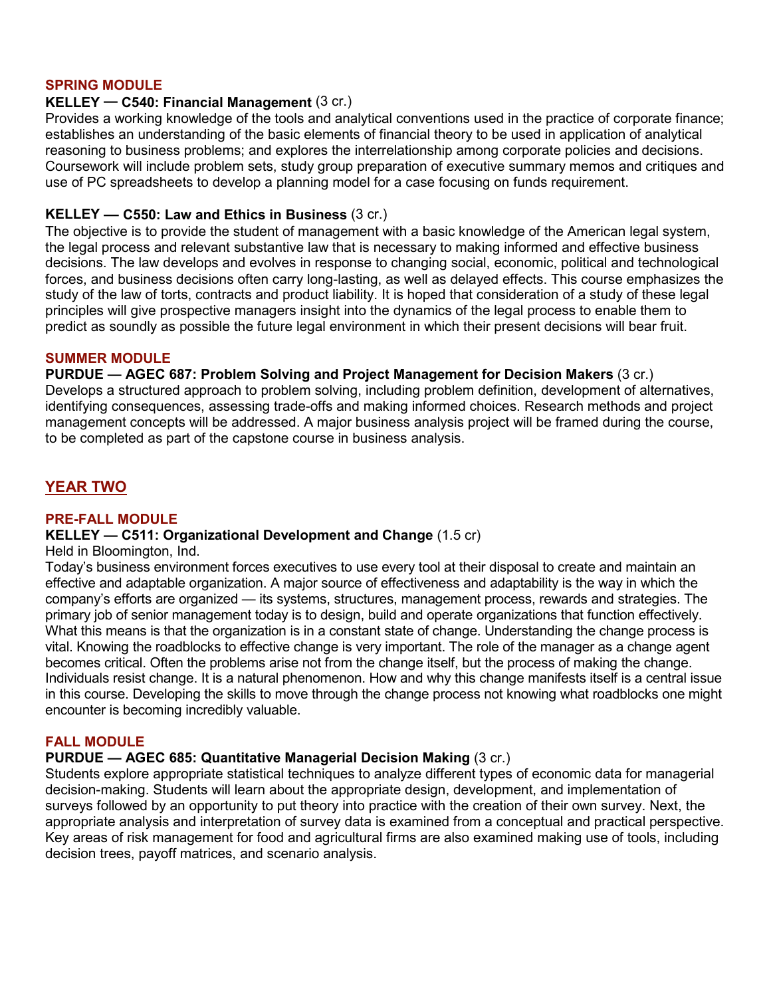#### **SPRING MODULE**

#### **KELLEY — C540: Financial Management** (3 cr.)

Provides a working knowledge of the tools and analytical conventions used in the practice of corporate finance; establishes an understanding of the basic elements of financial theory to be used in application of analytical reasoning to business problems; and explores the interrelationship among corporate policies and decisions. Coursework will include problem sets, study group preparation of executive summary memos and critiques and use of PC spreadsheets to develop a planning model for a case focusing on funds requirement.

#### **KELLEY — C550: Law and Ethics in Business** (3 cr.)

The objective is to provide the student of management with a basic knowledge of the American legal system, the legal process and relevant substantive law that is necessary to making informed and effective business decisions. The law develops and evolves in response to changing social, economic, political and technological forces, and business decisions often carry long-lasting, as well as delayed effects. This course emphasizes the study of the law of torts, contracts and product liability. It is hoped that consideration of a study of these legal principles will give prospective managers insight into the dynamics of the legal process to enable them to predict as soundly as possible the future legal environment in which their present decisions will bear fruit.

#### **SUMMER MODULE**

**PURDUE — AGEC 687: Problem Solving and Project Management for Decision Makers** (3 cr.) Develops a structured approach to problem solving, including problem definition, development of alternatives, identifying consequences, assessing trade-offs and making informed choices. Research methods and project management concepts will be addressed. A major business analysis project will be framed during the course, to be completed as part of the capstone course in business analysis.

## **YEAR TWO**

#### **PRE-FALL MODULE**

#### **KELLEY — C511: Organizational Development and Change** (1.5 cr)

Held in Bloomington, Ind.

Today's business environment forces executives to use every tool at their disposal to create and maintain an effective and adaptable organization. A major source of effectiveness and adaptability is the way in which the company's efforts are organized — its systems, structures, management process, rewards and strategies. The primary job of senior management today is to design, build and operate organizations that function effectively. What this means is that the organization is in a constant state of change. Understanding the change process is vital. Knowing the roadblocks to effective change is very important. The role of the manager as a change agent becomes critical. Often the problems arise not from the change itself, but the process of making the change. Individuals resist change. It is a natural phenomenon. How and why this change manifests itself is a central issue in this course. Developing the skills to move through the change process not knowing what roadblocks one might encounter is becoming incredibly valuable.

#### **FALL MODULE**

#### **PURDUE — AGEC 685: Quantitative Managerial Decision Making** (3 cr.)

Students explore appropriate statistical techniques to analyze different types of economic data for managerial decision-making. Students will learn about the appropriate design, development, and implementation of surveys followed by an opportunity to put theory into practice with the creation of their own survey. Next, the appropriate analysis and interpretation of survey data is examined from a conceptual and practical perspective. Key areas of risk management for food and agricultural firms are also examined making use of tools, including decision trees, payoff matrices, and scenario analysis.